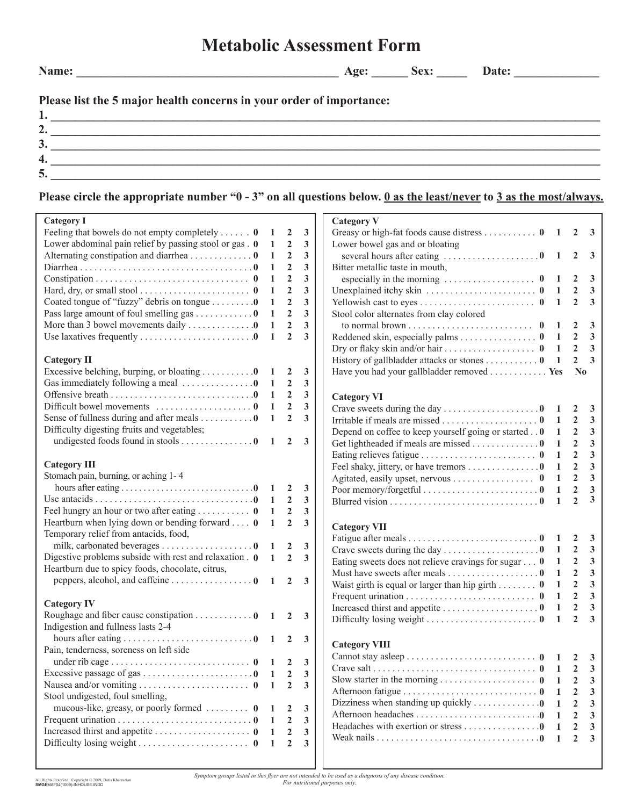## **Metabolic Assessment Form**

**Name: \_\_\_\_\_\_\_\_\_\_\_\_\_\_\_\_\_\_\_\_\_\_\_\_\_\_\_\_\_\_\_\_\_\_\_\_\_\_\_\_\_\_\_ Age: \_\_\_\_\_\_ Sex: \_\_\_\_\_ Date: \_\_\_\_\_\_\_\_\_\_\_\_\_\_** 

## **Please list the 5 major health concerns in your order of importance:**

| ັ |  |
|---|--|
|   |  |
|   |  |

## **Please circle the appropriate number "0 - 3" on all questions below. 0 as the least/never to 3 as the most/always.**

| <b>Category I</b>                                                                 |                |                  |              | <b>Category V</b>                                                         |                |                |                                         |
|-----------------------------------------------------------------------------------|----------------|------------------|--------------|---------------------------------------------------------------------------|----------------|----------------|-----------------------------------------|
| Feeling that bowels do not empty completely 0                                     | -1             | $\boldsymbol{2}$ | 3            | Greasy or high-fat foods cause distress 0 $1 \quad 2 \quad 3$             |                |                |                                         |
| Lower abdominal pain relief by passing stool or gas . 0                           | - 1            | $\overline{2}$   | 3            | Lower bowel gas and or bloating                                           |                |                |                                         |
| Alternating constipation and diarrhea 0                                           | -1             | $\boldsymbol{2}$ | 3            | several hours after eating 0 1                                            |                | $\mathbf{2}$   | $\overline{\mathbf{3}}$                 |
|                                                                                   | -1             | $\overline{2}$   | 3            | Bitter metallic taste in mouth,                                           |                |                |                                         |
|                                                                                   | 1              | $\overline{2}$   | 3            | especially in the morning $\ldots \ldots \ldots \ldots \ldots \ldots$ 0 1 |                | <sup>2</sup>   | $\overline{\mathbf{3}}$                 |
| Hard, dry, or small stool $\dots \dots \dots \dots \dots \dots \dots \dots \dots$ | 1              | $\overline{2}$   | 3            |                                                                           |                | $\overline{2}$ | $\overline{\mathbf{3}}$                 |
| Coated tongue of "fuzzy" debris on tongue 0                                       | -1             | $\overline{2}$   | $\mathbf{3}$ |                                                                           |                | $\overline{2}$ | $\mathbf{3}$                            |
| Pass large amount of foul smelling gas $\dots \dots \dots \dots 0$                | 1              | $\overline{2}$   | 3            | Stool color alternates from clay colored                                  |                |                |                                         |
| More than 3 bowel movements daily 0                                               | 1              | $\overline{2}$   | 3            |                                                                           |                | 2              | 3                                       |
| Use laxatives frequently $\dots \dots \dots \dots \dots \dots \dots \dots \dots$  | 1              | $\overline{2}$   | 3            | Reddened skin, especially palms 0 1                                       |                | $\overline{2}$ | $\mathbf{3}$                            |
|                                                                                   |                |                  |              |                                                                           |                | $\overline{2}$ | $\overline{\mathbf{3}}$                 |
| <b>Category II</b>                                                                |                |                  |              | History of gallbladder attacks or stones 0 1                              |                | $\overline{2}$ | $\overline{\mathbf{3}}$                 |
| Excessive belching, burping, or bloating $\dots \dots \dots 0$ 1                  |                | $\overline{2}$   | 3            | Have you had your gallbladder removed Yes                                 |                | N <sub>0</sub> |                                         |
| Gas immediately following a meal $\dots\dots\dots\dots\dots$                      | - 1            | $\overline{2}$   | 3            |                                                                           |                |                |                                         |
|                                                                                   | -1             | $\overline{2}$   | $\mathbf{3}$ |                                                                           |                |                |                                         |
|                                                                                   | -1             | $\overline{2}$   | 3            | <b>Category VI</b>                                                        |                |                |                                         |
| Sense of fullness during and after meals $\dots \dots \dots 0$                    | $\mathbf{1}$   | $\overline{2}$   | $\mathbf{3}$ |                                                                           |                | 2              | $\mathbf{3}$<br>$\overline{\mathbf{3}}$ |
| Difficulty digesting fruits and vegetables;                                       |                |                  |              |                                                                           |                | $\overline{2}$ |                                         |
|                                                                                   |                |                  |              | Depend on coffee to keep yourself going or started 0                      | $\overline{1}$ | $\overline{2}$ | 3                                       |
|                                                                                   |                |                  |              | Get lightheaded if meals are missed 0                                     | $\mathbf{1}$   | $\overline{2}$ | $\mathbf{3}$                            |
|                                                                                   |                |                  |              |                                                                           | $\mathbf{1}$   | $\overline{2}$ | $\mathbf{3}$                            |
| <b>Category III</b>                                                               |                |                  |              | Feel shaky, jittery, or have tremors 0                                    | $\mathbf{1}$   | $\overline{2}$ | $\mathbf{3}$                            |
| Stomach pain, burning, or aching 1-4                                              |                |                  |              | Agitated, easily upset, nervous 0                                         | 1              | $\overline{2}$ | $\mathbf{3}$                            |
|                                                                                   |                |                  | $\mathbf{3}$ | Poor memory/forgetful $\dots\dots\dots\dots\dots\dots\dots\dots$          | 1              | $\overline{2}$ | $\overline{\mathbf{3}}$                 |
|                                                                                   |                | $\overline{2}$   | $\mathbf{3}$ |                                                                           | 1              | $\overline{2}$ | $\overline{3}$                          |
|                                                                                   | -1             | $\overline{2}$   | $\mathbf{3}$ |                                                                           |                |                |                                         |
| Heartburn when lying down or bending forward $\theta$                             | $\overline{1}$ | $\overline{2}$   | $\mathbf{3}$ | <b>Category VII</b>                                                       |                |                |                                         |
| Temporary relief from antacids, food,                                             |                |                  |              |                                                                           |                | $\overline{2}$ |                                         |
| milk, carbonated beverages 0 1 2                                                  |                |                  | 3            |                                                                           |                | $\overline{2}$ | $\mathbf{3}$                            |
| Digestive problems subside with rest and relaxation $.0 \quad 1 \quad 2$          |                |                  | $\mathbf{3}$ | Eating sweets does not relieve cravings for sugar $\dots$ 0 1             |                | $\overline{2}$ | 3                                       |
| Heartburn due to spicy foods, chocolate, citrus,                                  |                |                  |              | Must have sweets after meals 0 1                                          |                | $\overline{2}$ | 3                                       |
|                                                                                   |                | $\overline{2}$   | $\mathbf{3}$ | Waist girth is equal or larger than hip girth $\mathbf{0}$                | $\blacksquare$ | $\overline{2}$ | $\mathbf{3}$                            |
|                                                                                   |                |                  |              |                                                                           | $\mathbf{1}$   | $\overline{2}$ | $\overline{\mathbf{3}}$                 |
| <b>Category IV</b>                                                                |                |                  |              |                                                                           | $\mathbf{1}$   | $\overline{2}$ | $\overline{\mathbf{3}}$                 |
| Roughage and fiber cause constipation $\ldots \ldots \ldots \ldots 0$ 1 2 3       |                |                  |              |                                                                           | $\mathbf{1}$   | $\overline{2}$ | $\overline{3}$                          |
| Indigestion and fullness lasts 2-4                                                |                |                  |              |                                                                           |                |                |                                         |
|                                                                                   |                |                  |              |                                                                           |                |                |                                         |
| Pain, tenderness, soreness on left side                                           |                |                  |              | <b>Category VIII</b>                                                      |                |                |                                         |
|                                                                                   |                |                  | $\mathbf{3}$ |                                                                           |                |                |                                         |
| Excessive passage of gas 0                                                        |                | 2                | 3            |                                                                           |                |                |                                         |
|                                                                                   | - 1            | $\overline{2}$   | $\mathbf{3}$ |                                                                           |                | $\overline{2}$ | 3                                       |
| Stool undigested, foul smelling,                                                  |                |                  |              |                                                                           |                | 2              | 3                                       |
| mucous-like, greasy, or poorly formed $\dots \dots \dots$ 0                       |                | 2                | $\mathbf{3}$ | Dizziness when standing up quickly $\dots \dots \dots \dots \dots$        | 1              | $\mathbf{2}$   | 3                                       |
|                                                                                   |                | $\overline{2}$   | 3            |                                                                           | 1              | $\mathbf{2}$   | 3                                       |
| Increased thirst and appetite 0                                                   | $\mathbf{1}$   | $\mathbf{2}$     | 3            | Headaches with exertion or stress 0                                       | 1              |                | 3                                       |
|                                                                                   |                | $\overline{2}$   | 3            |                                                                           | 1              | $\mathbf{2}$   | 3                                       |
|                                                                                   | -1             |                  |              |                                                                           |                |                |                                         |
|                                                                                   |                |                  |              |                                                                           |                |                |                                         |